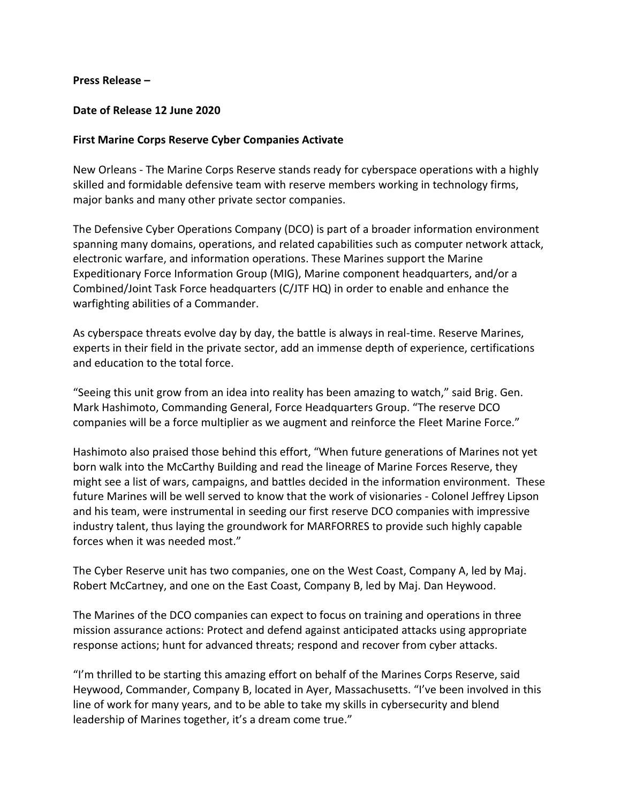## **Press Release –**

## **Date of Release 12 June 2020**

## **First Marine Corps Reserve Cyber Companies Activate**

New Orleans - The Marine Corps Reserve stands ready for cyberspace operations with a highly skilled and formidable defensive team with reserve members working in technology firms, major banks and many other private sector companies.

The Defensive Cyber Operations Company (DCO) is part of a broader information environment spanning many domains, operations, and related capabilities such as computer network attack, electronic warfare, and information operations. These Marines support the Marine Expeditionary Force Information Group (MIG), Marine component headquarters, and/or a Combined/Joint Task Force headquarters (C/JTF HQ) in order to enable and enhance the warfighting abilities of a Commander.

As cyberspace threats evolve day by day, the battle is always in real-time. Reserve Marines, experts in their field in the private sector, add an immense depth of experience, certifications and education to the total force.

"Seeing this unit grow from an idea into reality has been amazing to watch," said Brig. Gen. Mark Hashimoto, Commanding General, Force Headquarters Group. "The reserve DCO companies will be a force multiplier as we augment and reinforce the Fleet Marine Force."

Hashimoto also praised those behind this effort, "When future generations of Marines not yet born walk into the McCarthy Building and read the lineage of Marine Forces Reserve, they might see a list of wars, campaigns, and battles decided in the information environment. These future Marines will be well served to know that the work of visionaries - Colonel Jeffrey Lipson and his team, were instrumental in seeding our first reserve DCO companies with impressive industry talent, thus laying the groundwork for MARFORRES to provide such highly capable forces when it was needed most."

The Cyber Reserve unit has two companies, one on the West Coast, Company A, led by Maj. Robert McCartney, and one on the East Coast, Company B, led by Maj. Dan Heywood.

The Marines of the DCO companies can expect to focus on training and operations in three mission assurance actions: Protect and defend against anticipated attacks using appropriate response actions; hunt for advanced threats; respond and recover from cyber attacks.

"I'm thrilled to be starting this amazing effort on behalf of the Marines Corps Reserve, said Heywood, Commander, Company B, located in Ayer, Massachusetts. "I've been involved in this line of work for many years, and to be able to take my skills in cybersecurity and blend leadership of Marines together, it's a dream come true."